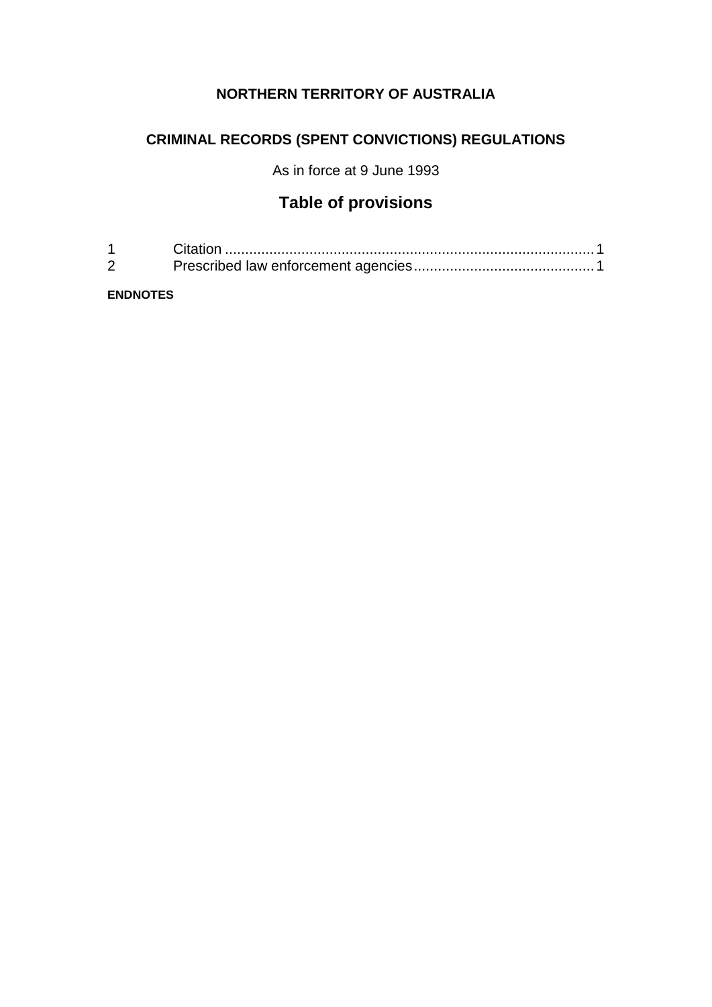## **NORTHERN TERRITORY OF AUSTRALIA**

# **CRIMINAL RECORDS (SPENT CONVICTIONS) REGULATIONS**

As in force at 9 June 1993

# **Table of provisions**

| $\sim$ |  |
|--------|--|

**ENDNOTES**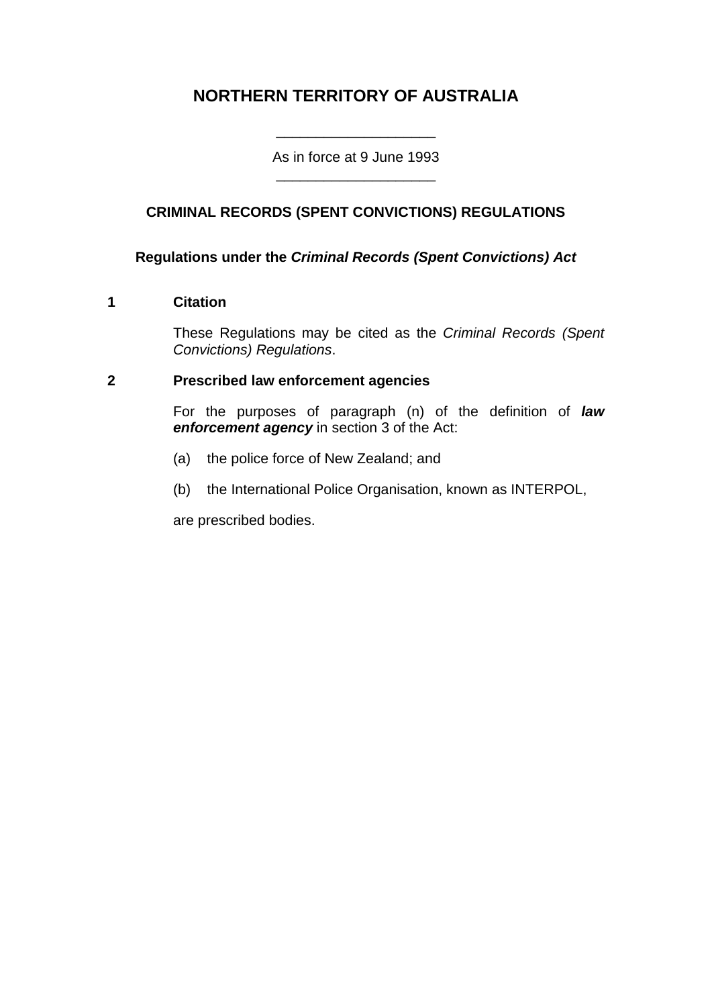# **NORTHERN TERRITORY OF AUSTRALIA**

As in force at 9 June 1993 \_\_\_\_\_\_\_\_\_\_\_\_\_\_\_\_\_\_\_\_

\_\_\_\_\_\_\_\_\_\_\_\_\_\_\_\_\_\_\_\_

## **CRIMINAL RECORDS (SPENT CONVICTIONS) REGULATIONS**

#### **Regulations under the** *Criminal Records (Spent Convictions) Act*

#### **1 Citation**

These Regulations may be cited as the *Criminal Records (Spent Convictions) Regulations*.

#### **2 Prescribed law enforcement agencies**

For the purposes of paragraph (n) of the definition of *law enforcement agency* in section 3 of the Act:

- (a) the police force of New Zealand; and
- (b) the International Police Organisation, known as INTERPOL,

are prescribed bodies.